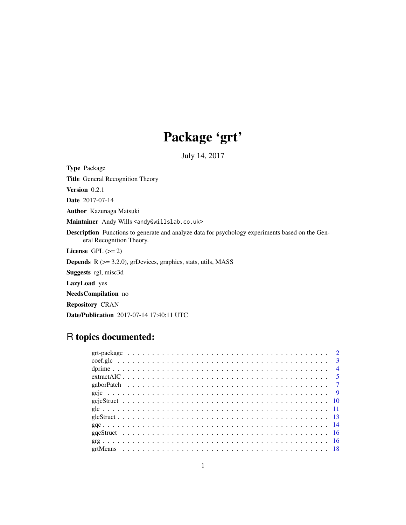# Package 'grt'

July 14, 2017

<span id="page-0-0"></span>Type Package Title General Recognition Theory Version 0.2.1 Date 2017-07-14 Author Kazunaga Matsuki

Maintainer Andy Wills <andy@willslab.co.uk>

Description Functions to generate and analyze data for psychology experiments based on the General Recognition Theory.

License GPL  $(>= 2)$ 

**Depends** R  $(>= 3.2.0)$ , grDevices, graphics, stats, utils, MASS

Suggests rgl, misc3d

LazyLoad yes

NeedsCompilation no

Repository CRAN

Date/Publication 2017-07-14 17:40:11 UTC

## R topics documented: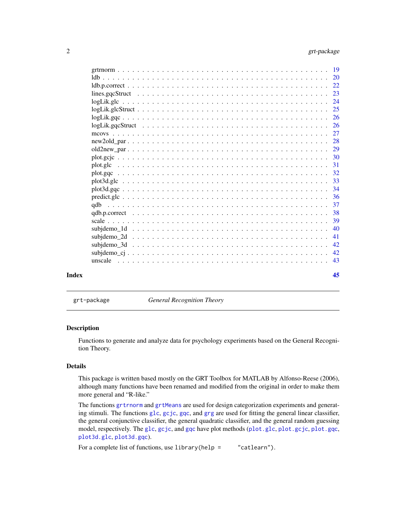<span id="page-1-0"></span>

| Index |                                                                                                                 | 45  |
|-------|-----------------------------------------------------------------------------------------------------------------|-----|
|       |                                                                                                                 | 43  |
|       |                                                                                                                 |     |
|       |                                                                                                                 | -42 |
|       |                                                                                                                 | 41  |
|       |                                                                                                                 | 40  |
|       |                                                                                                                 | 39  |
|       | $qdb.p.correct \dots \dots \dots \dots \dots \dots \dots \dots \dots \dots \dots \dots \dots \dots \dots \dots$ | 38  |
|       |                                                                                                                 |     |
|       |                                                                                                                 | -36 |
|       |                                                                                                                 |     |
|       |                                                                                                                 |     |
|       |                                                                                                                 |     |
|       |                                                                                                                 | -31 |
|       |                                                                                                                 |     |
|       |                                                                                                                 |     |
|       |                                                                                                                 |     |
|       |                                                                                                                 |     |
|       |                                                                                                                 |     |
|       |                                                                                                                 |     |
|       |                                                                                                                 |     |
|       |                                                                                                                 |     |
|       |                                                                                                                 |     |
|       |                                                                                                                 |     |
|       |                                                                                                                 |     |
|       |                                                                                                                 |     |

grt-package *General Recognition Theory*

## Description

Functions to generate and analyze data for psychology experiments based on the General Recognition Theory.

## Details

This package is written based mostly on the GRT Toolbox for MATLAB by Alfonso-Reese (2006), although many functions have been renamed and modified from the original in order to make them more general and "R-like."

The functions [grtrnorm](#page-18-1) and [grtMeans](#page-17-1) are used for design categorization experiments and generating stimuli. The functions [glc](#page-10-1), [gcjc](#page-8-1), [gqc](#page-13-1), and [grg](#page-15-1) are used for fitting the general linear classifier, the general conjunctive classifier, the general quadratic classifier, and the general random guessing model, respectively. The [glc](#page-10-1), [gcjc](#page-8-1), and [gqc](#page-13-1) have plot methods ([plot.glc](#page-30-1), [plot.gcjc](#page-29-1), [plot.gqc](#page-31-1), [plot3d.glc](#page-32-1), [plot3d.gqc](#page-33-1)).

For a complete list of functions, use library(help = "catlearn").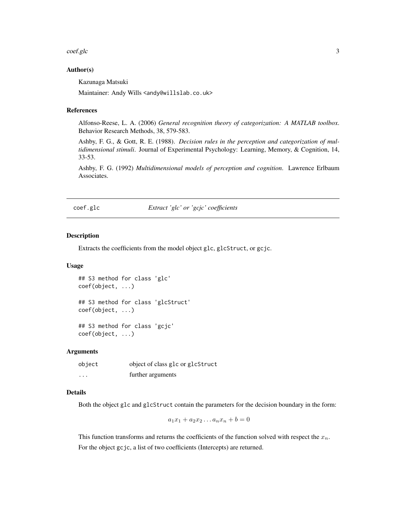#### <span id="page-2-0"></span>coef.glc 3

#### Author(s)

Kazunaga Matsuki

Maintainer: Andy Wills <andy@willslab.co.uk>

#### References

Alfonso-Reese, L. A. (2006) *General recognition theory of categorization: A MATLAB toolbox*. Behavior Research Methods, 38, 579-583.

Ashby, F. G., & Gott, R. E. (1988). *Decision rules in the perception and categorization of multidimensional stimuli*. Journal of Experimental Psychology: Learning, Memory, & Cognition, 14, 33-53.

Ashby, F. G. (1992) *Multidimensional models of perception and cognition*. Lawrence Erlbaum Associates.

<span id="page-2-2"></span>coef.glc *Extract 'glc' or 'gcjc' coefficients*

#### <span id="page-2-1"></span>Description

Extracts the coefficients from the model object glc, glcStruct, or gcjc.

#### Usage

```
## S3 method for class 'glc'
coef(object, ...)
## S3 method for class 'glcStruct'
coef(object, ...)
## S3 method for class 'gcjc'
coef(object, ...)
```
#### Arguments

| object  | object of class glc or glcStruct |
|---------|----------------------------------|
| $\cdot$ | further arguments                |

## Details

Both the object glc and glcStruct contain the parameters for the decision boundary in the form:

$$
a_1x_1 + a_2x_2 \dots a_nx_n + b = 0
$$

This function transforms and returns the coefficients of the function solved with respect the  $x_n$ . For the object gcjc, a list of two coefficients (Intercepts) are returned.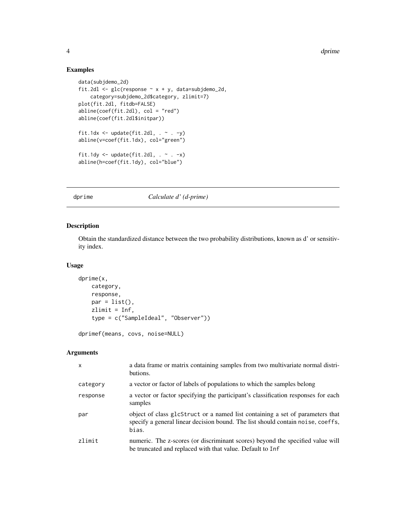4 decree de la contradicte de la contradicte de la contradicte de la contradicte de la contradicte de la contradicte de la contradicte de la contradicte de la contradicte de la contradicte de la contradicte de la contradic

## Examples

```
data(subjdemo_2d)
fit.2dl <- glc(response \sim x + y, data=subjdemo_2d,
    category=subjdemo_2d$category, zlimit=7)
plot(fit.2dl, fitdb=FALSE)
abline(coef(fit.2dl), col = "red")
abline(coef(fit.2dl$initpar))
fit.1dx <- update(fit.2dl, \cdot \sim \cdot -y)
abline(v=coef(fit.1dx), col="green")
fit.1dy \leq update(fit.2dl, . \sim . -x)
abline(h=coef(fit.1dy), col="blue")
```
## dprime *Calculate d' (d-prime)*

## Description

Obtain the standardized distance between the two probability distributions, known as d' or sensitivity index.

#### Usage

```
dprime(x,
   category,
   response,
   par = list(),zlimit = Inf,
    type = c("SampleIdeal", "Observer"))
```

```
dprimef(means, covs, noise=NULL)
```

| $\mathsf{x}$ | a data frame or matrix containing samples from two multivariate normal distri-<br>butions.                                                                                |
|--------------|---------------------------------------------------------------------------------------------------------------------------------------------------------------------------|
| category     | a vector or factor of labels of populations to which the samples belong                                                                                                   |
| response     | a vector or factor specifying the participant's classification responses for each<br>samples                                                                              |
| par          | object of class glcStruct or a named list containing a set of parameters that<br>specify a general linear decision bound. The list should contain noise, coeffs,<br>bias. |
| zlimit       | numeric. The z-scores (or discriminant scores) beyond the specified value will<br>be truncated and replaced with that value. Default to Inf                               |

<span id="page-3-0"></span>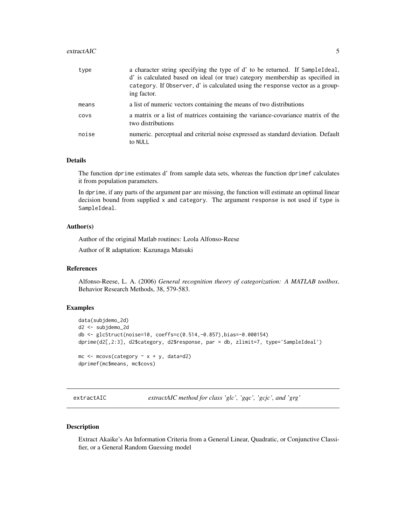#### <span id="page-4-0"></span>extractAIC 5

| type  | a character string specifying the type of d' to be returned. If SampleIdeal,<br>d' is calculated based on ideal (or true) category membership as specified in<br>category. If Observer, d' is calculated using the response vector as a group-<br>ing factor. |
|-------|---------------------------------------------------------------------------------------------------------------------------------------------------------------------------------------------------------------------------------------------------------------|
| means | a list of numeric vectors containing the means of two distributions                                                                                                                                                                                           |
| covs  | a matrix or a list of matrices containing the variance-covariance matrix of the<br>two distributions                                                                                                                                                          |
| noise | numeric, perceptual and criterial noise expressed as standard deviation. Default<br>to NULL                                                                                                                                                                   |

## Details

The function dprime estimates d' from sample data sets, whereas the function dprimef calculates it from population parameters.

In dprime, if any parts of the argument par are missing, the function will estimate an optimal linear decision bound from supplied x and category. The argument response is not used if type is SampleIdeal.

#### Author(s)

Author of the original Matlab routines: Leola Alfonso-Reese

Author of R adaptation: Kazunaga Matsuki

#### References

Alfonso-Reese, L. A. (2006) *General recognition theory of categorization: A MATLAB toolbox*. Behavior Research Methods, 38, 579-583.

#### Examples

```
data(subjdemo_2d)
d2 <- subjdemo_2d
db <- glcStruct(noise=10, coeffs=c(0.514,-0.857),bias=-0.000154)
dprime(d2[,2:3], d2$category, d2$response, par = db, zlimit=7, type='SampleIdeal')
mc \leq mcovs(category \sim x + y, data=d2)
dprimef(mc$means, mc$covs)
```
extractAIC *extractAIC method for class 'glc', 'gqc', 'gcjc', and 'grg'*

## <span id="page-4-1"></span>Description

Extract Akaike's An Information Criteria from a General Linear, Quadratic, or Conjunctive Classifier, or a General Random Guessing model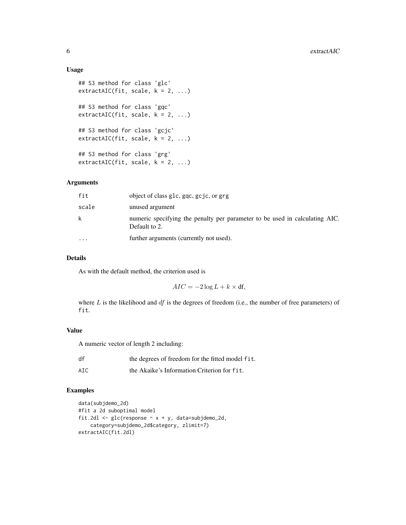#### Usage

```
## S3 method for class 'glc'
extractAIC(fit, scale, k = 2, ...)## S3 method for class 'gqc'
extractAIC(fit, scale, k = 2, ...)## S3 method for class 'gcjc'
extractAIC(fit, scale, k = 2, ...)## S3 method for class 'grg'
extractAIC(fit, scale, k = 2, ...)
```
## Arguments

| scale<br>unused argument<br>k.<br>Default to 2.<br>further arguments (currently not used).<br>$\ddotsc$ | fit | object of class glc, gqc, gcjc, or grg                                      |
|---------------------------------------------------------------------------------------------------------|-----|-----------------------------------------------------------------------------|
|                                                                                                         |     |                                                                             |
|                                                                                                         |     | numeric specifying the penalty per parameter to be used in calculating AIC. |
|                                                                                                         |     |                                                                             |

## Details

As with the default method, the criterion used is

 $AIC = -2 \log L + k \times df$ ,

where  $L$  is the likelihood and  $df$  is the degrees of freedom (i.e., the number of free parameters) of fit.

#### Value

A numeric vector of length 2 including:

| df  | the degrees of freedom for the fitted model fit. |
|-----|--------------------------------------------------|
| AIC | the Akaike's Information Criterion for fit.      |

```
data(subjdemo_2d)
#fit a 2d suboptimal model
fit.2dl \leq glc(response \sim x + y, data=subjdemo_2d,
   category=subjdemo_2d$category, zlimit=7)
extractAIC(fit.2dl)
```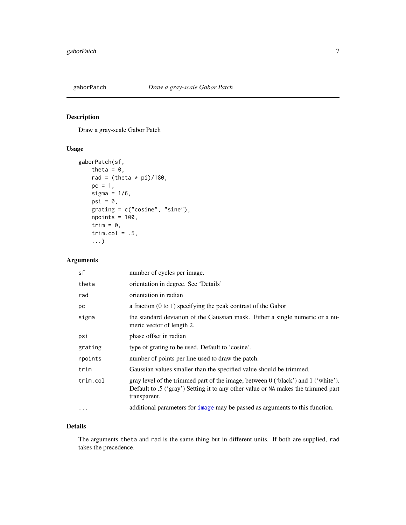<span id="page-6-0"></span>

## Description

Draw a gray-scale Gabor Patch

## Usage

```
gaborPatch(sf,
    theta = 0,
    rad = (theta * pi)/180,
    pc = 1,
    sigma = 1/6,
    psi = \theta,
    grating = c("cosine", "sine"),npoints = 100,trim = \theta,
    trim.col = .5,
    ...)
```
## Arguments

| sf        | number of cycles per image.                                                                                                                                                            |
|-----------|----------------------------------------------------------------------------------------------------------------------------------------------------------------------------------------|
| theta     | orientation in degree. See 'Details'                                                                                                                                                   |
| rad       | orientation in radian                                                                                                                                                                  |
| рc        | a fraction $(0 to 1)$ specifying the peak contrast of the Gabor                                                                                                                        |
| sigma     | the standard deviation of the Gaussian mask. Either a single numeric or a nu-<br>meric vector of length 2.                                                                             |
| psi       | phase offset in radian                                                                                                                                                                 |
| grating   | type of grating to be used. Default to 'cosine'.                                                                                                                                       |
| npoints   | number of points per line used to draw the patch.                                                                                                                                      |
| trim      | Gaussian values smaller than the specified value should be trimmed.                                                                                                                    |
| trim.col  | gray level of the trimmed part of the image, between 0 ('black') and 1 ('white').<br>Default to .5 ('gray') Setting it to any other value or NA makes the trimmed part<br>transparent. |
| $\ddotsc$ | additional parameters for image may be passed as arguments to this function.                                                                                                           |

## Details

The arguments theta and rad is the same thing but in different units. If both are supplied, rad takes the precedence.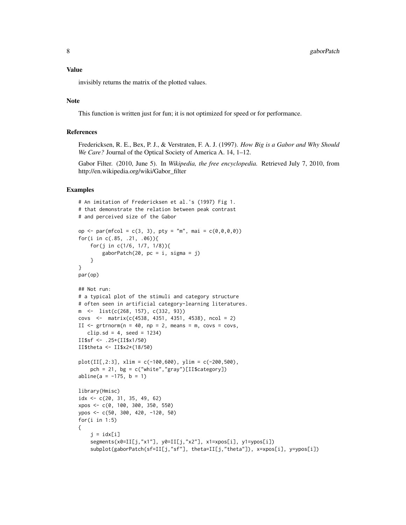#### Value

invisibly returns the matrix of the plotted values.

#### Note

This function is written just for fun; it is not optimized for speed or for performance.

## References

Fredericksen, R. E., Bex, P. J., & Verstraten, F. A. J. (1997). *How Big is a Gabor and Why Should We Care?* Journal of the Optical Society of America A. 14, 1–12.

Gabor Filter. (2010, June 5). In *Wikipedia, the free encyclopedia.* Retrieved July 7, 2010, from http://en.wikipedia.org/wiki/Gabor\_filter

```
# An imitation of Fredericksen et al.'s (1997) Fig 1.
# that demonstrate the relation between peak contrast
# and perceived size of the Gabor
op <- par(mfcol = c(3, 3), pty = "m", mai = c(0,0,0,0))
for(i in c(.85, .21, .06)){
   for(j in c(1/6, 1/7, 1/8)){
        gaborPatch(20, pc = i, sigma = j)}
}
par(op)
## Not run:
# a typical plot of the stimuli and category structure
# often seen in artificial category-learning literatures.
m <- list(c(268, 157), c(332, 93))
covs <- matrix(c(4538, 4351, 4351, 4538), ncol = 2)
II \le grtrnorm(n = 40, np = 2, means = m, covs = covs,
   clip.sd = 4, seed = 1234)
II$sf <- .25+(II$x1/50)
II$theta <- II$x2*(18/50)
plot(III[, 2:3], xlim = c(-100,600), ylim = c(-200,500),pch = 21, bg = c("white", "gray")[II$category])
abline(a = -175, b = 1)library(Hmisc)
idx <- c(20, 31, 35, 49, 62)
xpos <- c(0, 100, 300, 350, 550)
ypos <- c(50, 300, 420, -120, 50)
for(i in 1:5)
{
    j = i dx[i]segments(x0=II[j,"x1"], y0=II[j,"x2"], x1=xpos[i], y1=ypos[i])
    subplot(gaborPatch(sf=II[j,"sf"], theta=II[j,"theta"]), x=xpos[i], y=ypos[i])
```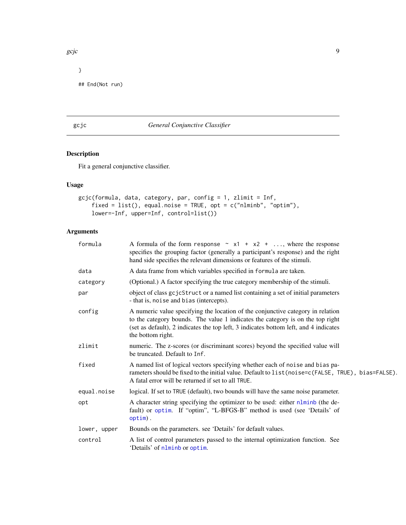```
gcjc 9 Secondary 1996 – 1997 – 1998 – 1999 – 1999 – 1999 – 1999 – 1999 – 1999 – 1999 – 1999 – 1999 – 1999 – 1
```

```
}
## End(Not run)
```
## <span id="page-8-1"></span>gcjc *General Conjunctive Classifier*

## Description

Fit a general conjunctive classifier.

## Usage

```
gcjc(formula, data, category, par, config = 1, zlimit = Inf,
    fixed = list(), equal.noise = TRUE, opt = c("nlminb", "optim"),lower=-Inf, upper=Inf, control=list())
```

| formula      | A formula of the form response $\sim x1 + x2 + $ , where the response<br>specifies the grouping factor (generally a participant's response) and the right<br>hand side specifies the relevant dimensions or features of the stimuli.                                           |
|--------------|--------------------------------------------------------------------------------------------------------------------------------------------------------------------------------------------------------------------------------------------------------------------------------|
| data         | A data frame from which variables specified in formula are taken.                                                                                                                                                                                                              |
| category     | (Optional.) A factor specifying the true category membership of the stimuli.                                                                                                                                                                                                   |
| par          | object of class gcjcStruct or a named list containing a set of initial parameters<br>- that is, noise and bias (intercepts).                                                                                                                                                   |
| config       | A numeric value specifying the location of the conjunctive category in relation<br>to the category bounds. The value 1 indicates the category is on the top right<br>(set as default), 2 indicates the top left, 3 indicates bottom left, and 4 indicates<br>the bottom right. |
| zlimit       | numeric. The z-scores (or discriminant scores) beyond the specified value will<br>be truncated. Default to Inf.                                                                                                                                                                |
| fixed        | A named list of logical vectors specifying whether each of noise and bias pa-<br>rameters should be fixed to the initial value. Default to list (noise=c(FALSE, TRUE), bias=FALSE).<br>A fatal error will be returned if set to all TRUE.                                      |
| equal.noise  | logical. If set to TRUE (default), two bounds will have the same noise parameter.                                                                                                                                                                                              |
| opt          | A character string specifying the optimizer to be used: either nlminb (the de-<br>fault) or optim. If "optim", "L-BFGS-B" method is used (see 'Details' of<br>$option)$ .                                                                                                      |
| lower, upper | Bounds on the parameters. see 'Details' for default values.                                                                                                                                                                                                                    |
| control      | A list of control parameters passed to the internal optimization function. See<br>'Details' of nlminb or optim.                                                                                                                                                                |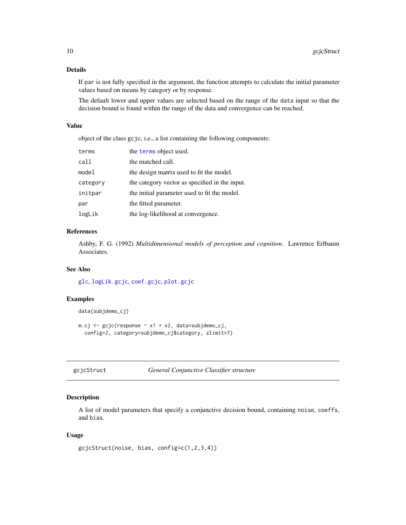## <span id="page-9-0"></span>Details

If par is not fully specified in the argument, the function attempts to calculate the initial parameter values based on means by category or by response.

The default lower and upper values are selected based on the range of the data input so that the decision bound is found within the range of the data and convergence can be reached.

#### Value

object of the class gcjc, i.e., a list containing the following components:

| terms    | the terms object used.                         |
|----------|------------------------------------------------|
| call     | the matched call.                              |
| model    | the design matrix used to fit the model.       |
| category | the category vector as specified in the input. |
| initpar  | the initial parameter used to fit the model.   |
| par      | the fitted parameter.                          |
| logLik   | the log-likelihood at convergence.             |

## References

Ashby, F. G. (1992) *Multidimensional models of perception and cognition*. Lawrence Erlbaum Associates.

## See Also

[glc](#page-10-1), [logLik.gcjc](#page-23-1), [coef.gcjc](#page-2-1), [plot.gcjc](#page-29-1)

## Examples

```
data(subjdemo_cj)
m.cj \leq gci(c(\text{response} \sim x1 + x2, \text{ data} = \text{subjdemo}_ci),config=2, category=subjdemo_cj$category, zlimit=7)
```

|  |  |  | gcjcStruct |
|--|--|--|------------|
|--|--|--|------------|

```
t General Conjunctive Classifier structure
```
## Description

A list of model parameters that specify a conjunctive decision bound, containing noise, coeffs, and bias.

#### Usage

```
gcjcStruct(noise, bias, config=c(1,2,3,4))
```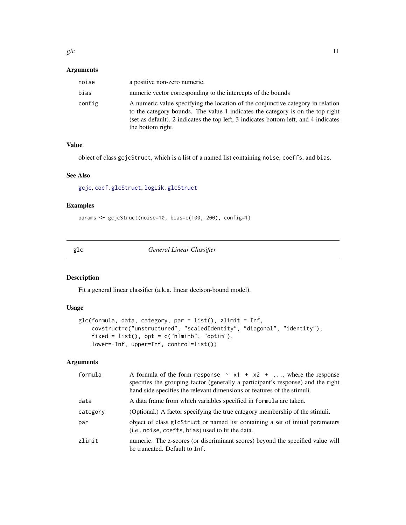## <span id="page-10-0"></span>Arguments

| noise  | a positive non-zero numeric.                                                                                                                                                                                                                                                   |
|--------|--------------------------------------------------------------------------------------------------------------------------------------------------------------------------------------------------------------------------------------------------------------------------------|
| bias   | numeric vector corresponding to the intercepts of the bounds                                                                                                                                                                                                                   |
| config | A numeric value specifying the location of the conjunctive category in relation<br>to the category bounds. The value 1 indicates the category is on the top right<br>(set as default), 2 indicates the top left, 3 indicates bottom left, and 4 indicates<br>the bottom right. |

## Value

object of class gcjcStruct, which is a list of a named list containing noise, coeffs, and bias.

#### See Also

[gcjc](#page-8-1), [coef.glcStruct](#page-2-1), [logLik.glcStruct](#page-24-1)

## Examples

params <- gcjcStruct(noise=10, bias=c(100, 200), config=1)

<span id="page-10-1"></span>

glc *General Linear Classifier*

## Description

Fit a general linear classifier (a.k.a. linear decison-bound model).

#### Usage

```
glc(formula, data, category, par = list(), zlimit = Inf,
   covstruct=c("unstructured", "scaledIdentity", "diagonal", "identity"),
    fixed = list(), opt = c("nlmin", "optim"),
    lower=-Inf, upper=Inf, control=list())
```

| formula  | A formula of the form response $\sim x1 + x2 + $ , where the response<br>specifies the grouping factor (generally a participant's response) and the right<br>hand side specifies the relevant dimensions or features of the stimuli. |
|----------|--------------------------------------------------------------------------------------------------------------------------------------------------------------------------------------------------------------------------------------|
| data     | A data frame from which variables specified in formula are taken.                                                                                                                                                                    |
| category | (Optional.) A factor specifying the true category membership of the stimuli.                                                                                                                                                         |
| par      | object of class glcStruct or named list containing a set of initial parameters<br>( <i>i.e.</i> , noise, coeffs, bias) used to fit the data.                                                                                         |
| zlimit   | numeric. The z-scores (or discriminant scores) beyond the specified value will<br>be truncated. Default to Inf.                                                                                                                      |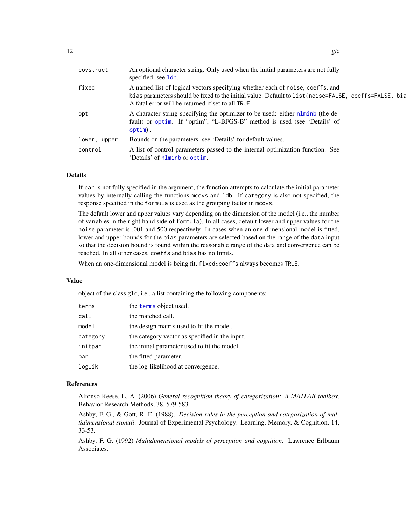<span id="page-11-0"></span>

| An optional character string. Only used when the initial parameters are not fully<br>specified. see 1db.                                                                                                                                     |
|----------------------------------------------------------------------------------------------------------------------------------------------------------------------------------------------------------------------------------------------|
| A named list of logical vectors specifying whether each of noise, coeffs, and<br>bias parameters should be fixed to the initial value. Default to list (noise=FALSE, coeffs=FALSE, bia<br>A fatal error will be returned if set to all TRUE. |
| A character string specifying the optimizer to be used: either nlminb (the de-<br>fault) or optim. If "optim", "L-BFGS-B" method is used (see 'Details' of<br>$option)$ .                                                                    |
| Bounds on the parameters, see 'Details' for default values.                                                                                                                                                                                  |
| A list of control parameters passed to the internal optimization function. See<br>'Details' of nlminb or optim.                                                                                                                              |
|                                                                                                                                                                                                                                              |

#### Details

If par is not fully specified in the argument, the function attempts to calculate the initial parameter values by internally calling the functions mcovs and ldb. If category is also not specified, the response specified in the formula is used as the grouping factor in mcovs.

The default lower and upper values vary depending on the dimension of the model (i.e., the number of variables in the right hand side of formula). In all cases, default lower and upper values for the noise parameter is .001 and 500 respectively. In cases when an one-dimensional model is fitted, lower and upper bounds for the bias parameters are selected based on the range of the data input so that the decision bound is found within the reasonable range of the data and convergence can be reached. In all other cases, coeffs and bias has no limits.

When an one-dimensional model is being fit, fixed\$coeffs always becomes TRUE.

#### Value

object of the class glc, i.e., a list containing the following components:

| terms    | the terms object used.                         |
|----------|------------------------------------------------|
| call     | the matched call.                              |
| model    | the design matrix used to fit the model.       |
| category | the category vector as specified in the input. |
| initpar  | the initial parameter used to fit the model.   |
| par      | the fitted parameter.                          |
| logLik   | the log-likelihood at convergence.             |

#### References

Alfonso-Reese, L. A. (2006) *General recognition theory of categorization: A MATLAB toolbox*. Behavior Research Methods, 38, 579-583.

Ashby, F. G., & Gott, R. E. (1988). *Decision rules in the perception and categorization of multidimensional stimuli*. Journal of Experimental Psychology: Learning, Memory, & Cognition, 14, 33-53.

Ashby, F. G. (1992) *Multidimensional models of perception and cognition*. Lawrence Erlbaum Associates.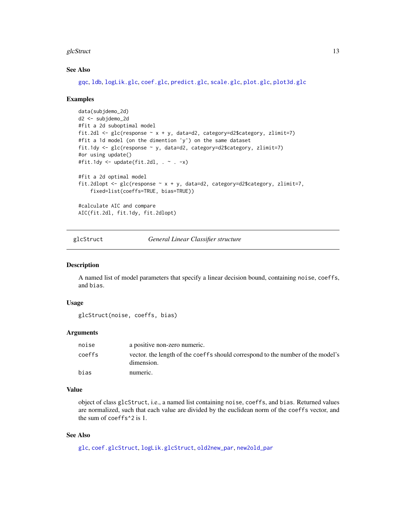#### <span id="page-12-0"></span>glcStruct 13

## See Also

[gqc](#page-13-1), [ldb](#page-19-1), [logLik.glc](#page-23-2), [coef.glc](#page-2-2), [predict.glc](#page-35-1), [scale.glc](#page-38-1), [plot.glc](#page-30-1), [plot3d.glc](#page-32-1)

#### Examples

```
data(subjdemo_2d)
d2 <- subjdemo_2d
#fit a 2d suboptimal model
fit.2dl \leq glc(response \sim x + y, data=d2, category=d2$category, zlimit=7)
#fit a 1d model (on the dimention 'y') on the same dataset
fit.1dy <- glc(response ~ y, data=d2, category=d2$category, zlimit=7)
#or using update()
#fit.1dy <- update(fit.2dl, . ~ . -x)
#fit a 2d optimal model
fit.2dlopt <- glc(response ~ x + y, data=d2, category=d2$category, zlimit=7,
    fixed=list(coeffs=TRUE, bias=TRUE))
#calculate AIC and compare
AIC(fit.2dl, fit.1dy, fit.2dlopt)
```
<span id="page-12-1"></span>

glcStruct *General Linear Classifier structure*

#### Description

A named list of model parameters that specify a linear decision bound, containing noise, coeffs, and bias.

#### Usage

```
glcStruct(noise, coeffs, bias)
```
#### Arguments

| noise  | a positive non-zero numeric.                                                                  |
|--------|-----------------------------------------------------------------------------------------------|
| coeffs | vector, the length of the coeffs should correspond to the number of the model's<br>dimension. |
| bias   | numeric.                                                                                      |

#### Value

object of class glcStruct, i.e., a named list containing noise, coeffs, and bias. Returned values are normalized, such that each value are divided by the euclidean norm of the coeffs vector, and the sum of coeffs^2 is 1.

#### See Also

[glc](#page-10-1), [coef.glcStruct](#page-2-1), [logLik.glcStruct](#page-24-1), [old2new\\_par](#page-28-1), [new2old\\_par](#page-27-1)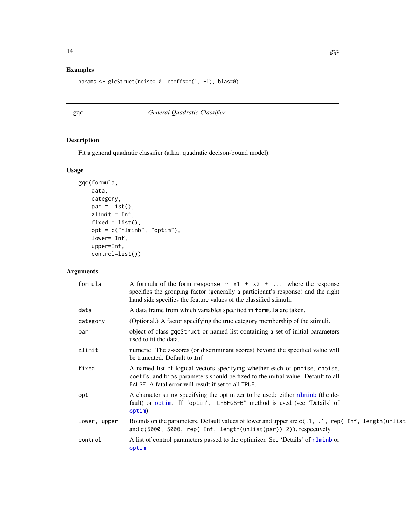## <span id="page-13-0"></span>Examples

params <- glcStruct(noise=10, coeffs=c(1, -1), bias=0)

## <span id="page-13-1"></span>gqc *General Quadratic Classifier*

## Description

Fit a general quadratic classifier (a.k.a. quadratic decison-bound model).

## Usage

```
gqc(formula,
    data,
    category,
   par = list(),
   zlimit = Inf,
    fixed = list(),
    opt = c("nlminb", "optim"),lower=-Inf,
   upper=Inf,
    control=list())
```

| formula      | A formula of the form response $\sim x1 + x2 + $ where the response<br>specifies the grouping factor (generally a participant's response) and the right<br>hand side specifies the feature values of the classified stimuli. |
|--------------|------------------------------------------------------------------------------------------------------------------------------------------------------------------------------------------------------------------------------|
| data         | A data frame from which variables specified in formula are taken.                                                                                                                                                            |
| category     | (Optional.) A factor specifying the true category membership of the stimuli.                                                                                                                                                 |
| par          | object of class gqcStruct or named list containing a set of initial parameters<br>used to fit the data.                                                                                                                      |
| zlimit       | numeric. The z-scores (or discriminant scores) beyond the specified value will<br>be truncated. Default to Inf                                                                                                               |
| fixed        | A named list of logical vectors specifying whether each of pnoise, cnoise,<br>coeffs, and bias parameters should be fixed to the initial value. Default to all<br>FALSE. A fatal error will result if set to all TRUE.       |
| opt          | A character string specifying the optimizer to be used: either nlminb (the de-<br>fault) or optim. If "optim", "L-BFGS-B" method is used (see 'Details' of<br>option)                                                        |
| lower, upper | Bounds on the parameters. Default values of lower and upper are $c(0.1, 0.1, rep(-Inf, length(unlist))$<br>and $c(5000, 5000, rep(Inf, length(unlist(par))-2)), respectively.$                                               |
| control      | A list of control parameters passed to the optimizer. See 'Details' of nlminb or<br>optim                                                                                                                                    |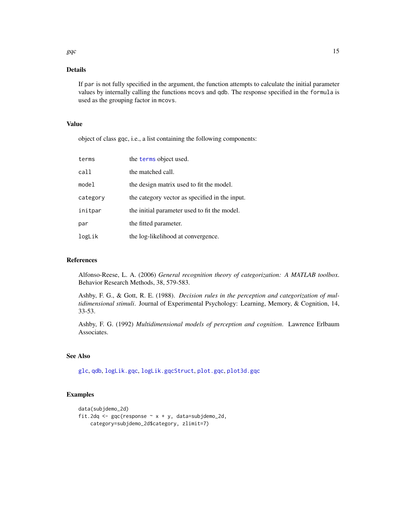#### Details

If par is not fully specified in the argument, the function attempts to calculate the initial parameter values by internally calling the functions mcovs and qdb. The response specified in the formula is used as the grouping factor in mcovs.

#### Value

object of class gqc, i.e., a list containing the following components:

| terms    | the terms object used.                         |
|----------|------------------------------------------------|
| call     | the matched call.                              |
| model    | the design matrix used to fit the model.       |
| category | the category vector as specified in the input. |
| initpar  | the initial parameter used to fit the model.   |
| par      | the fitted parameter.                          |
| logLik   | the log-likelihood at convergence.             |

#### References

Alfonso-Reese, L. A. (2006) *General recognition theory of categorization: A MATLAB toolbox*. Behavior Research Methods, 38, 579-583.

Ashby, F. G., & Gott, R. E. (1988). *Decision rules in the perception and categorization of multidimensional stimuli*. Journal of Experimental Psychology: Learning, Memory, & Cognition, 14, 33-53.

Ashby, F. G. (1992) *Multidimensional models of perception and cognition*. Lawrence Erlbaum Associates.

## See Also

[glc](#page-10-1), [qdb](#page-36-1), [logLik.gqc](#page-25-1), [logLik.gqcStruct](#page-25-2), [plot.gqc](#page-31-1), [plot3d.gqc](#page-33-1)

## Examples

```
data(subjdemo_2d)
fit.2dq <- gqc(response \sim x + y, data=subjdemo_2d,
    category=subjdemo_2d$category, zlimit=7)
```
<span id="page-14-0"></span>gqc  $\qquad \qquad$  15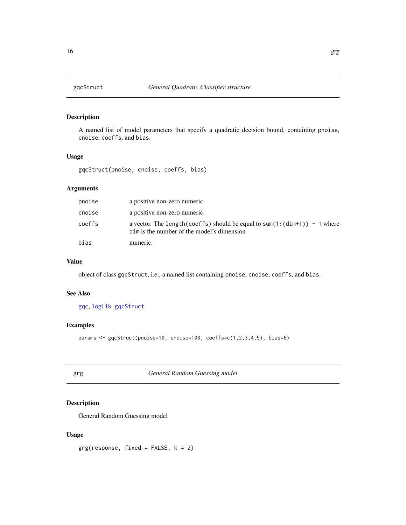<span id="page-15-2"></span><span id="page-15-0"></span>

## Description

A named list of model parameters that specify a quadratic decision bound, containing pnoise, cnoise, coeffs, and bias.

## Usage

gqcStruct(pnoise, cnoise, coeffs, bias)

## Arguments

| pnoise | a positive non-zero numeric.                                                                                                       |
|--------|------------------------------------------------------------------------------------------------------------------------------------|
| cnoise | a positive non-zero numeric.                                                                                                       |
| coeffs | a vector. The length (coeffs) should be equal to sum(1: $(\text{dim}+1)$ ) - 1 where<br>dim is the number of the model's dimension |
| bias   | numeric.                                                                                                                           |

## Value

object of class gqcStruct, i.e., a named list containing pnoise, cnoise, coeffs, and bias.

## See Also

[gqc](#page-13-1), [logLik.gqcStruct](#page-25-2)

## Examples

params <- gqcStruct(pnoise=10, cnoise=100, coeffs=c(1,2,3,4,5), bias=6)

<span id="page-15-1"></span>grg *General Random Guessing model*

## Description

General Random Guessing model

## Usage

 $grg(response, fixed = FALSE, k = 2)$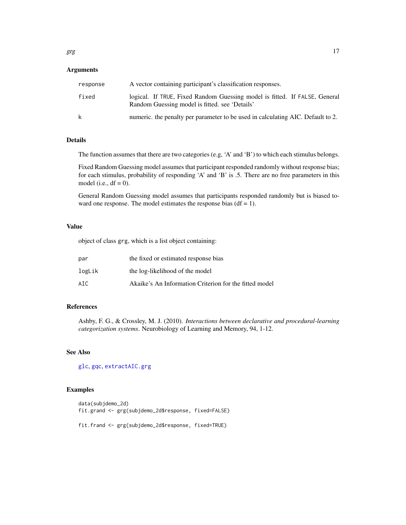## <span id="page-16-0"></span>Arguments

| response | A vector containing participant's classification responses.                                                                  |
|----------|------------------------------------------------------------------------------------------------------------------------------|
| fixed    | logical. If TRUE, Fixed Random Guessing model is fitted. If FALSE, General<br>Random Guessing model is fitted, see 'Details' |
| k        | numeric, the penalty per parameter to be used in calculating AIC. Default to 2.                                              |

#### Details

The function assumes that there are two categories (e.g, 'A' and 'B') to which each stimulus belongs.

Fixed Random Guessing model assumes that participant responded randomly without response bias; for each stimulus, probability of responding 'A' and 'B' is .5. There are no free parameters in this model (i.e.,  $df = 0$ ).

General Random Guessing model assumes that participants responded randomly but is biased toward one response. The model estimates the response bias  $(df = 1)$ .

## Value

object of class grg, which is a list object containing:

| par    | the fixed or estimated response bias                   |
|--------|--------------------------------------------------------|
| logLik | the log-likelihood of the model                        |
| AIC    | Akaike's An Information Criterion for the fitted model |

## References

Ashby, F. G., & Crossley, M. J. (2010). *Interactions between declarative and procedural-learning categorization systems*. Neurobiology of Learning and Memory, 94, 1-12.

#### See Also

[glc](#page-10-1), [gqc](#page-13-1), [extractAIC.grg](#page-4-1)

```
data(subjdemo_2d)
fit.grand <- grg(subjdemo_2d$response, fixed=FALSE)
fit.frand <- grg(subjdemo_2d$response, fixed=TRUE)
```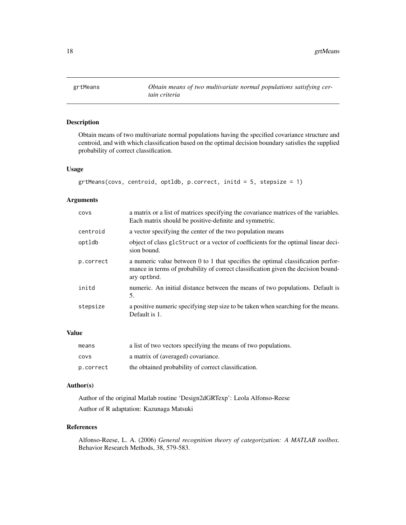<span id="page-17-1"></span><span id="page-17-0"></span>

## Description

Obtain means of two multivariate normal populations having the specified covariance structure and centroid, and with which classification based on the optimal decision boundary satisfies the supplied probability of correct classification.

## Usage

```
grtMeans(covs, centroid, optldb, p.correct, initd = 5, stepsize = 1)
```
## Arguments

| COVS      | a matrix or a list of matrices specifying the covariance matrices of the variables.<br>Each matrix should be positive-definite and symmetric.                                        |
|-----------|--------------------------------------------------------------------------------------------------------------------------------------------------------------------------------------|
| centroid  | a vector specifying the center of the two population means                                                                                                                           |
| optldb    | object of class glcStruct or a vector of coefficients for the optimal linear deci-<br>sion bound.                                                                                    |
| p.correct | a numeric value between 0 to 1 that specifies the optimal classification perfor-<br>mance in terms of probability of correct classification given the decision bound-<br>ary optbnd. |
| initd     | numeric. An initial distance between the means of two populations. Default is<br>5.                                                                                                  |
| stepsize  | a positive numeric specifying step size to be taken when searching for the means.<br>Default is 1.                                                                                   |

## Value

| means     | a list of two vectors specifying the means of two populations. |
|-----------|----------------------------------------------------------------|
| covs      | a matrix of (averaged) covariance.                             |
| p.correct | the obtained probability of correct classification.            |

#### Author(s)

Author of the original Matlab routine 'Design2dGRTexp': Leola Alfonso-Reese Author of R adaptation: Kazunaga Matsuki

## References

Alfonso-Reese, L. A. (2006) *General recognition theory of categorization: A MATLAB toolbox*. Behavior Research Methods, 38, 579-583.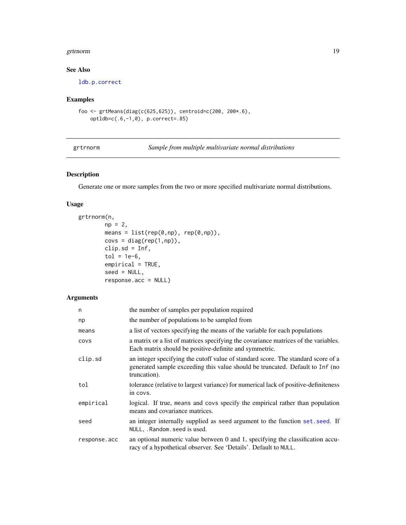#### <span id="page-18-0"></span>grtrnorm and the state of the state of the state of the state of the state of the state of the state of the state of the state of the state of the state of the state of the state of the state of the state of the state of t

## See Also

[ldb.p.correct](#page-21-1)

## Examples

```
foo <- grtMeans(diag(c(625,625)), centroid=c(200, 200*.6),
    optldb=c(.6,-1,0), p.correct=.85)
```
<span id="page-18-1"></span>grtrnorm *Sample from multiple multivariate normal distributions*

## Description

Generate one or more samples from the two or more specified multivariate normal distributions.

## Usage

```
grtrnorm(n,
        np = 2,
        means = list(rep(\theta, np), rep(\theta, np)),covs = diag(rep(1, np)),clip.add = Inf,tol = 1e-6,empirical = TRUE,
        seed = NULL,
        response.acc = NULL)
```

| n            | the number of samples per population required                                                                                                                                      |
|--------------|------------------------------------------------------------------------------------------------------------------------------------------------------------------------------------|
| np           | the number of populations to be sampled from                                                                                                                                       |
| means        | a list of vectors specifying the means of the variable for each populations                                                                                                        |
| <b>COVS</b>  | a matrix or a list of matrices specifying the covariance matrices of the variables.<br>Each matrix should be positive-definite and symmetric.                                      |
| clip.sd      | an integer specifying the cutoff value of standard score. The standard score of a<br>generated sample exceeding this value should be truncated. Default to Inf (no<br>truncation). |
| tol          | tolerance (relative to largest variance) for numerical lack of positive-definiteness<br>in covs.                                                                                   |
| empirical    | logical. If true, means and covs specify the empirical rather than population<br>means and covariance matrices.                                                                    |
| seed         | an integer internally supplied as seed argument to the function set. seed. If<br>NULL, . Random. seed is used.                                                                     |
| response.acc | an optional numeric value between 0 and 1, specifying the classification accu-<br>racy of a hypothetical observer. See 'Details'. Default to NULL.                                 |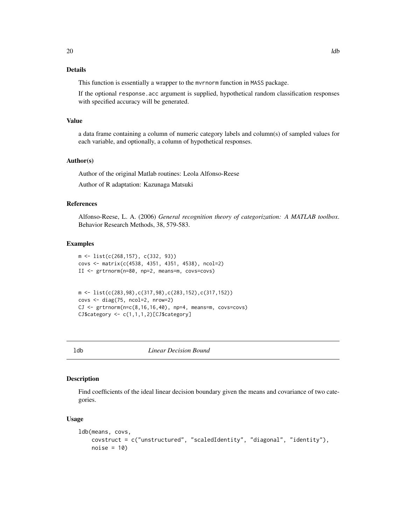## <span id="page-19-0"></span>Details

This function is essentially a wrapper to the mvrnorm function in MASS package.

If the optional response.acc argument is supplied, hypothetical random classification responses with specified accuracy will be generated.

#### Value

a data frame containing a column of numeric category labels and column(s) of sampled values for each variable, and optionally, a column of hypothetical responses.

#### Author(s)

Author of the original Matlab routines: Leola Alfonso-Reese

Author of R adaptation: Kazunaga Matsuki

## References

Alfonso-Reese, L. A. (2006) *General recognition theory of categorization: A MATLAB toolbox*. Behavior Research Methods, 38, 579-583.

## Examples

```
m <- list(c(268,157), c(332, 93))
covs <- matrix(c(4538, 4351, 4351, 4538), ncol=2)
II <- grtrnorm(n=80, np=2, means=m, covs=covs)
```

```
m <- list(c(283,98),c(317,98),c(283,152),c(317,152))
covs <- diag(75, ncol=2, nrow=2)
CJ \leq grtrnorm(n=c(8,16,16,40), np=4, means=m, covs=covs)CJ$category <- c(1,1,1,2)[CJ$category]
```
<span id="page-19-1"></span>

ldb *Linear Decision Bound*

#### Description

Find coefficients of the ideal linear decision boundary given the means and covariance of two categories.

## Usage

```
ldb(means, covs,
   covstruct = c("unstructured", "scaledIdentity", "diagonal", "identity"),
   noise = 10
```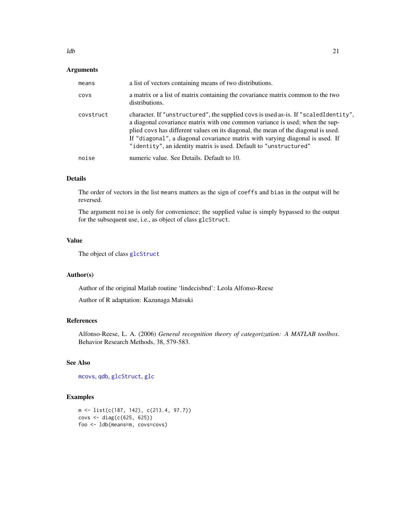## <span id="page-20-0"></span>Arguments

| means     | a list of vectors containing means of two distributions.                                                                                                                                                                                                                                                                                                                                                        |
|-----------|-----------------------------------------------------------------------------------------------------------------------------------------------------------------------------------------------------------------------------------------------------------------------------------------------------------------------------------------------------------------------------------------------------------------|
| COVS      | a matrix or a list of matrix containing the covariance matrix common to the two<br>distributions.                                                                                                                                                                                                                                                                                                               |
| covstruct | character. If "unstructured", the supplied covs is used as-is. If "scaledIdentity",<br>a diagonal covariance matrix with one common variance is used; when the sup-<br>plied covs has different values on its diagonal, the mean of the diagonal is used.<br>If "diagonal", a diagonal covariance matrix with varying diagonal is used. If<br>"identity", an identity matrix is used. Default to "unstructured" |
| noise     | numeric value. See Details. Default to 10.                                                                                                                                                                                                                                                                                                                                                                      |

## Details

The order of vectors in the list means matters as the sign of coeffs and bias in the output will be reversed.

The argument noise is only for convenience; the supplied value is simply bypassed to the output for the subsequent use, i.e., as object of class glcStruct.

## Value

The object of class [glcStruct](#page-12-1)

#### Author(s)

Author of the original Matlab routine 'lindecisbnd': Leola Alfonso-Reese

Author of R adaptation: Kazunaga Matsuki

## References

Alfonso-Reese, L. A. (2006) *General recognition theory of categorization: A MATLAB toolbox*. Behavior Research Methods, 38, 579-583.

## See Also

[mcovs](#page-26-1), [qdb](#page-36-1), [glcStruct](#page-12-1), [glc](#page-10-1)

```
m <- list(c(187, 142), c(213.4, 97.7))
covs <- diag(c(625, 625))
foo <- ldb(means=m, covs=covs)
```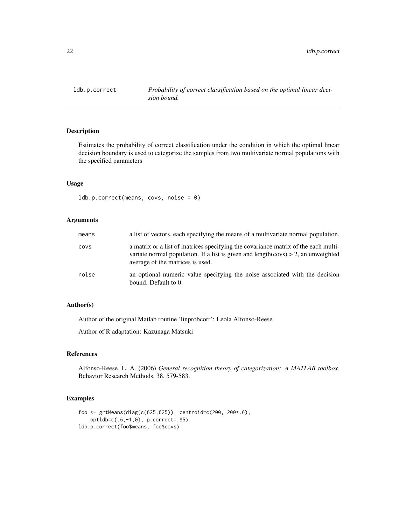<span id="page-21-1"></span><span id="page-21-0"></span>

## Description

Estimates the probability of correct classification under the condition in which the optimal linear decision boundary is used to categorize the samples from two multivariate normal populations with the specified parameters

#### Usage

ldb.p.correct(means, covs, noise = 0)

#### Arguments

| means | a list of vectors, each specifying the means of a multivariate normal population.                                                                                                                              |
|-------|----------------------------------------------------------------------------------------------------------------------------------------------------------------------------------------------------------------|
| covs  | a matrix or a list of matrices specifying the covariance matrix of the each multi-<br>variate normal population. If a list is given and length(covs) $> 2$ , an unweighted<br>average of the matrices is used. |
| noise | an optional numeric value specifying the noise associated with the decision<br>bound. Default to 0.                                                                                                            |

## Author(s)

Author of the original Matlab routine 'linprobcorr': Leola Alfonso-Reese

Author of R adaptation: Kazunaga Matsuki

## References

Alfonso-Reese, L. A. (2006) *General recognition theory of categorization: A MATLAB toolbox*. Behavior Research Methods, 38, 579-583.

```
foo <- grtMeans(diag(c(625,625)), centroid=c(200, 200*.6),
    optldb=c(.6,-1,0), p.correct=.85)
ldb.p.correct(foo$means, foo$covs)
```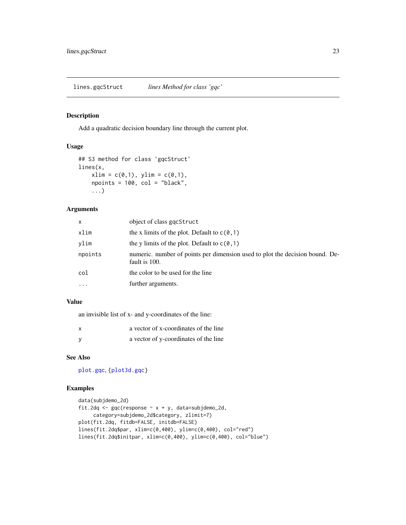<span id="page-22-1"></span><span id="page-22-0"></span>lines.gqcStruct *lines Method for class 'gqc'*

## Description

Add a quadratic decision boundary line through the current plot.

## Usage

```
## S3 method for class 'gqcStruct'
lines(x,
    xlim = c(0,1), ylim = c(0,1),npoints = 100, col = "black",
    ...)
```
## Arguments

| x       | object of class gqcStruct                                                                     |
|---------|-----------------------------------------------------------------------------------------------|
| xlim    | the x limits of the plot. Default to $c(0, 1)$                                                |
| vlim    | the y limits of the plot. Default to $c(0,1)$                                                 |
| npoints | numeric, number of points per dimension used to plot the decision bound. De-<br>fault is 100. |
| col     | the color to be used for the line                                                             |
| .       | further arguments.                                                                            |
|         |                                                                                               |

#### Value

an invisible list of x- and y-coordinates of the line:

| a vector of x-coordinates of the line |
|---------------------------------------|
| a vector of y-coordinates of the line |

## See Also

[plot.gqc](#page-31-1), [{plot3d.gqc}](#page-33-1)

```
data(subjdemo_2d)
fit.2dq <- gqc(response \sim x + y, data=subjdemo_2d,
    category=subjdemo_2d$category, zlimit=7)
plot(fit.2dq, fitdb=FALSE, initdb=FALSE)
lines(fit.2dq$par, xlim=c(0,400), ylim=c(0,400), col="red")
lines(fit.2dq$initpar, xlim=c(0,400), ylim=c(0,400), col="blue")
```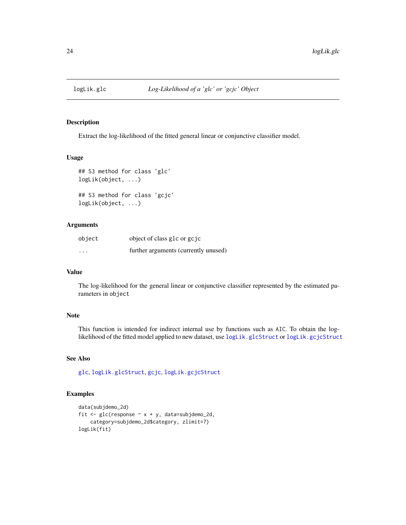<span id="page-23-2"></span><span id="page-23-0"></span>

## <span id="page-23-1"></span>Description

Extract the log-likelihood of the fitted general linear or conjunctive classifier model.

## Usage

```
## S3 method for class 'glc'
logLik(object, ...)
## S3 method for class 'gcjc'
logLik(object, ...)
```
#### Arguments

| object                  | object of class glc or gcjc          |
|-------------------------|--------------------------------------|
| $\cdot$ $\cdot$ $\cdot$ | further arguments (currently unused) |

#### Value

The log-likelihood for the general linear or conjunctive classifier represented by the estimated parameters in object

## Note

This function is intended for indirect internal use by functions such as AIC. To obtain the loglikelihood of the fitted model applied to new dataset, use [logLik.glcStruct](#page-24-1) or [logLik.gcjcStruct](#page-24-2)

#### See Also

[glc](#page-10-1), [logLik.glcStruct](#page-24-1), [gcjc](#page-8-1), [logLik.gcjcStruct](#page-24-2)

```
data(subjdemo_2d)
fit \leq glc(response \sim x + y, data=subjdemo_2d,
    category=subjdemo_2d$category, zlimit=7)
logLik(fit)
```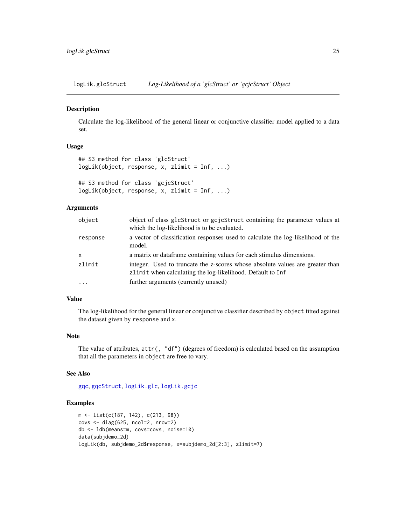<span id="page-24-1"></span><span id="page-24-0"></span>logLik.glcStruct *Log-Likelihood of a 'glcStruct' or 'gcjcStruct' Object*

## <span id="page-24-2"></span>Description

Calculate the log-likelihood of the general linear or conjunctive classifier model applied to a data set.

#### Usage

```
## S3 method for class 'glcStruct'
logLik(object, response, x, zlimit = Inf, ...)
## S3 method for class 'gcjcStruct'
logLik(object, response, x, zlimit = Inf, ...)
```
#### Arguments

| object   | object of class glcStruct or gcjcStruct containing the parameter values at<br>which the log-likelihood is to be evaluated.                  |
|----------|---------------------------------------------------------------------------------------------------------------------------------------------|
| response | a vector of classification responses used to calculate the log-likelihood of the<br>model.                                                  |
| X        | a matrix or data frame containing values for each stimulus dimensions.                                                                      |
| zlimit   | integer. Used to truncate the z-scores whose absolute values are greater than<br>zlimit when calculating the log-likelihood. Default to Inf |
| $\cdot$  | further arguments (currently unused)                                                                                                        |

### Value

The log-likelihood for the general linear or conjunctive classifier described by object fitted against the dataset given by response and x.

#### Note

The value of attributes, attr(, "df") (degrees of freedom) is calculated based on the assumption that all the parameters in object are free to vary.

#### See Also

[gqc](#page-13-1), [gqcStruct](#page-15-2), [logLik.glc](#page-23-2), [logLik.gcjc](#page-23-1)

```
m <- list(c(187, 142), c(213, 98))
covs <- diag(625, ncol=2, nrow=2)
db <- ldb(means=m, covs=covs, noise=10)
data(subjdemo_2d)
logLik(db, subjdemo_2d$response, x=subjdemo_2d[2:3], zlimit=7)
```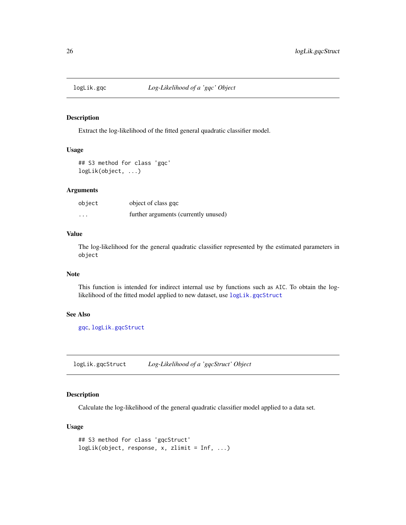<span id="page-25-1"></span><span id="page-25-0"></span>

#### Description

Extract the log-likelihood of the fitted general quadratic classifier model.

## Usage

```
## S3 method for class 'gqc'
logLik(object, ...)
```
## Arguments

| object   | object of class gqc                  |
|----------|--------------------------------------|
| $\cdots$ | further arguments (currently unused) |

## Value

The log-likelihood for the general quadratic classifier represented by the estimated parameters in object

#### Note

This function is intended for indirect internal use by functions such as AIC. To obtain the loglikelihood of the fitted model applied to new dataset, use [logLik.gqcStruct](#page-25-2)

#### See Also

[gqc](#page-13-1), [logLik.gqcStruct](#page-25-2)

<span id="page-25-2"></span>logLik.gqcStruct *Log-Likelihood of a 'gqcStruct' Object*

## Description

Calculate the log-likelihood of the general quadratic classifier model applied to a data set.

## Usage

```
## S3 method for class 'gqcStruct'
logLik(object, response, x, zlimit = Inf, ...)
```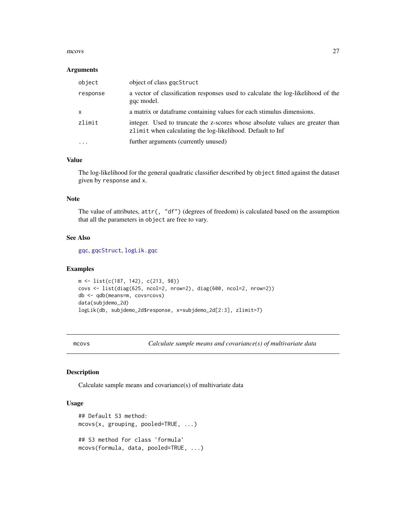#### <span id="page-26-0"></span>mcovs 27

#### **Arguments**

| object       | object of class gqcStruct                                                                                                                   |
|--------------|---------------------------------------------------------------------------------------------------------------------------------------------|
| response     | a vector of classification responses used to calculate the log-likelihood of the<br>gqc model.                                              |
| $\mathsf{x}$ | a matrix or data frame containing values for each stimulus dimensions.                                                                      |
| zlimit       | integer. Used to truncate the z-scores whose absolute values are greater than<br>zlimit when calculating the log-likelihood. Default to Inf |
|              | further arguments (currently unused)                                                                                                        |

## Value

The log-likelihood for the general quadratic classifier described by object fitted against the dataset given by response and x.

## Note

The value of attributes, attr(, "df") (degrees of freedom) is calculated based on the assumption that all the parameters in object are free to vary.

#### See Also

[gqc](#page-13-1), [gqcStruct](#page-15-2), [logLik.gqc](#page-25-1)

#### Examples

```
m <- list(c(187, 142), c(213, 98))
covs <- list(diag(625, ncol=2, nrow=2), diag(600, ncol=2, nrow=2))
db <- qdb(means=m, covs=covs)
data(subjdemo_2d)
logLik(db, subjdemo_2d$response, x=subjdemo_2d[2:3], zlimit=7)
```
<span id="page-26-1"></span>mcovs *Calculate sample means and covariance(s) of multivariate data*

#### Description

Calculate sample means and covariance(s) of multivariate data

#### Usage

```
## Default S3 method:
mcovs(x, grouping, pooled=TRUE, ...)
## S3 method for class 'formula'
mcovs(formula, data, pooled=TRUE, ...)
```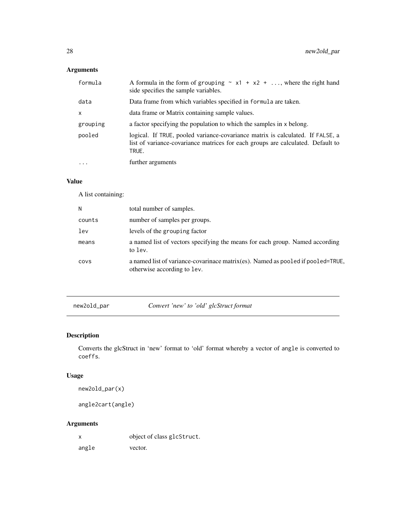## <span id="page-27-0"></span>Arguments

| formula   | A formula in the form of grouping $\sim x1 + x2 + $ , where the right hand<br>side specifies the sample variables.                                                         |
|-----------|----------------------------------------------------------------------------------------------------------------------------------------------------------------------------|
| data      | Data frame from which variables specified in formula are taken.                                                                                                            |
| X         | data frame or Matrix containing sample values.                                                                                                                             |
| grouping  | a factor specifying the population to which the samples in x belong.                                                                                                       |
| pooled    | logical. If TRUE, pooled variance-covariance matrix is calculated. If FALSE, a<br>list of variance-covariance matrices for each groups are calculated. Default to<br>TRUE. |
| $\ddotsc$ | further arguments                                                                                                                                                          |

## Value

A list containing:

| N      | total number of samples.                                                                                       |
|--------|----------------------------------------------------------------------------------------------------------------|
| counts | number of samples per groups.                                                                                  |
| 1ev    | levels of the grouping factor                                                                                  |
| means  | a named list of vectors specifying the means for each group. Named according<br>to lev.                        |
| COVS   | a named list of variance-covarinace matrix(es). Named as pooled if pooled=TRUE,<br>otherwise according to lev. |
|        |                                                                                                                |

<span id="page-27-1"></span>new2old\_par *Convert 'new' to 'old' glcStruct format*

## Description

Converts the glcStruct in 'new' format to 'old' format whereby a vector of angle is converted to coeffs.

## Usage

```
new2old_par(x)
```
angle2cart(angle)

## Arguments

x object of class glcStruct.

angle vector.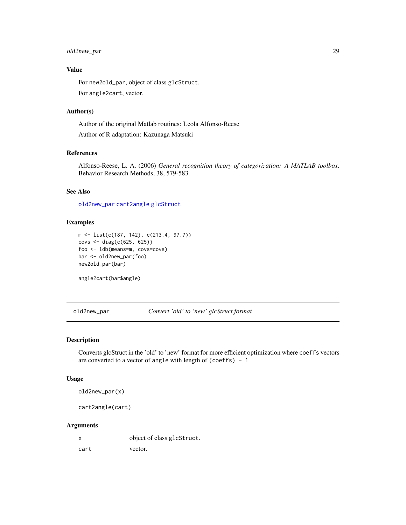## <span id="page-28-0"></span>old2new\_par 29

## Value

For new2old\_par, object of class glcStruct. For angle2cart, vector.

#### Author(s)

Author of the original Matlab routines: Leola Alfonso-Reese Author of R adaptation: Kazunaga Matsuki

## References

Alfonso-Reese, L. A. (2006) *General recognition theory of categorization: A MATLAB toolbox*. Behavior Research Methods, 38, 579-583.

## See Also

[old2new\\_par](#page-28-1) [cart2angle](#page-28-2) [glcStruct](#page-12-1)

## Examples

```
m <- list(c(187, 142), c(213.4, 97.7))
covs <- diag(c(625, 625))
foo <- ldb(means=m, covs=covs)
bar <- old2new_par(foo)
new2old_par(bar)
```
angle2cart(bar\$angle)

<span id="page-28-1"></span>old2new\_par *Convert 'old' to 'new' glcStruct format*

## <span id="page-28-2"></span>Description

Converts glcStruct in the 'old' to 'new' format for more efficient optimization where coeffs vectors are converted to a vector of angle with length of (coeffs) - 1

#### Usage

old2new\_par(x)

cart2angle(cart)

| x    | object of class glcStruct. |
|------|----------------------------|
| cart | vector.                    |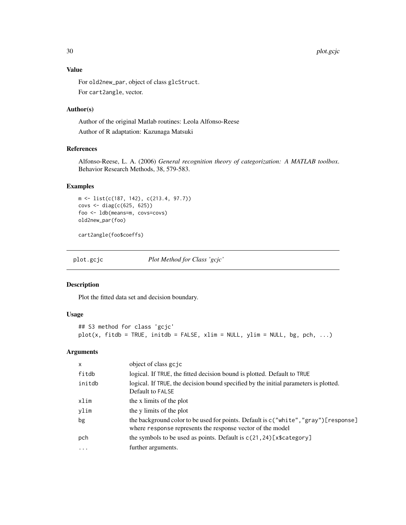30 plot.gcjc

#### Value

For old2new\_par, object of class glcStruct. For cart2angle, vector.

## Author(s)

Author of the original Matlab routines: Leola Alfonso-Reese Author of R adaptation: Kazunaga Matsuki

## References

Alfonso-Reese, L. A. (2006) *General recognition theory of categorization: A MATLAB toolbox*. Behavior Research Methods, 38, 579-583.

## Examples

```
m <- list(c(187, 142), c(213.4, 97.7))
covs <- diag(c(625, 625))
foo <- ldb(means=m, covs=covs)
old2new_par(foo)
```
cart2angle(foo\$coeffs)

<span id="page-29-1"></span>plot.gcjc *Plot Method for Class 'gcjc'*

## Description

Plot the fitted data set and decision boundary.

## Usage

```
## S3 method for class 'gcjc'
plot(x, fitdb = TRUE, initdb = FALSE, xlim = NULL, ylim = NULL, bg, pch, ...)
```

| $\mathsf{x}$ | object of class go jo                                                                                                                              |
|--------------|----------------------------------------------------------------------------------------------------------------------------------------------------|
| fitdb        | logical. If TRUE, the fitted decision bound is plotted. Default to TRUE                                                                            |
| initdb       | logical. If TRUE, the decision bound specified by the initial parameters is plotted.<br>Default to FALSE                                           |
| xlim         | the x limits of the plot                                                                                                                           |
| ylim         | the y limits of the plot                                                                                                                           |
| bg           | the background color to be used for points. Default is c("white", "gray") [response]<br>where response represents the response vector of the model |
| pch          | the symbols to be used as points. Default is $c(21, 24)$ [x\$category]                                                                             |
| $\cdots$     | further arguments.                                                                                                                                 |

<span id="page-29-0"></span>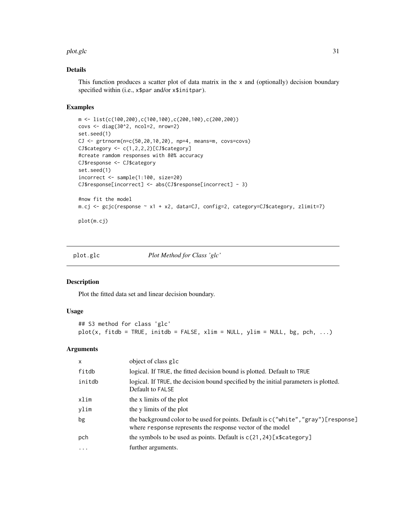#### <span id="page-30-0"></span>plot.glc 31

## Details

This function produces a scatter plot of data matrix in the  $x$  and (optionally) decision boundary specified within (i.e., x\$par and/or x\$initpar).

## Examples

```
m <- list(c(100,200),c(100,100),c(200,100),c(200,200))
covs <- diag(30^2, ncol=2, nrow=2)
set.seed(1)
CJ <- grtrnorm(n=c(50,20,10,20), np=4, means=m, covs=covs)
CJ$category <- c(1,2,2,2)[CJ$category]
#create ramdom responses with 80% accuracy
CJ$response <- CJ$category
set.seed(1)
incorrect <- sample(1:100, size=20)
CJ$response[incorrect] <- abs(CJ$response[incorrect] - 3)
#now fit the model
m.cj <- gcjc(response ~ x1 + x2, data=CJ, config=2, category=CJ$category, zlimit=7)
plot(m.cj)
```
<span id="page-30-1"></span>plot.glc *Plot Method for Class 'glc'*

#### Description

Plot the fitted data set and linear decision boundary.

#### Usage

```
## S3 method for class 'glc'
plot(x, fitdb = TRUE, initdb = FALSE, xlim = NULL, ylim = NULL, bg, pch, ...)
```

| X      | object of class glc                                                                                                                               |
|--------|---------------------------------------------------------------------------------------------------------------------------------------------------|
| fitdb  | logical. If TRUE, the fitted decision bound is plotted. Default to TRUE                                                                           |
| initdb | logical. If TRUE, the decision bound specified by the initial parameters is plotted.<br>Default to FALSE                                          |
| xlim   | the x limits of the plot                                                                                                                          |
| ylim   | the y limits of the plot                                                                                                                          |
| bg     | the background color to be used for points. Default is c("white", "gray")[response]<br>where response represents the response vector of the model |
| pch    | the symbols to be used as points. Default is $c(21, 24)$ [x\$category]                                                                            |
| .      | further arguments.                                                                                                                                |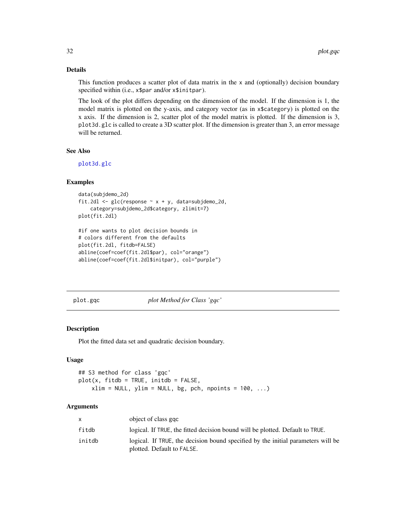## Details

This function produces a scatter plot of data matrix in the  $x$  and (optionally) decision boundary specified within (i.e., x\$par and/or x\$initpar).

The look of the plot differs depending on the dimension of the model. If the dimension is 1, the model matrix is plotted on the y-axis, and category vector (as in x\$category) is plotted on the x axis. If the dimension is 2, scatter plot of the model matrix is plotted. If the dimension is 3, plot3d.glc is called to create a 3D scatter plot. If the dimension is greater than 3, an error message will be returned.

## See Also

[plot3d.glc](#page-32-1)

#### Examples

```
data(subjdemo_2d)
fit.2dl \leq glc(response \sim x + y, data=subjdemo_2d,
    category=subjdemo_2d$category, zlimit=7)
plot(fit.2dl)
#if one wants to plot decision bounds in
```

```
# colors different from the defaults
plot(fit.2dl, fitdb=FALSE)
abline(coef=coef(fit.2dl$par), col="orange")
abline(coef=coef(fit.2dl$initpar), col="purple")
```
<span id="page-31-1"></span>plot.gqc *plot Method for Class 'gqc'*

#### Description

Plot the fitted data set and quadratic decision boundary.

#### Usage

```
## S3 method for class 'gqc'
plot(x, fitdb = TRUE, initdb = FALSE,xlim = NULL, ylim = NULL, bg, pch, npoints = 100, ...)
```

| X      | object of class ggc                                                                                            |
|--------|----------------------------------------------------------------------------------------------------------------|
| fitdb  | logical. If TRUE, the fitted decision bound will be plotted. Default to TRUE.                                  |
| initdb | logical. If TRUE, the decision bound specified by the initial parameters will be<br>plotted. Default to FALSE. |

<span id="page-31-0"></span>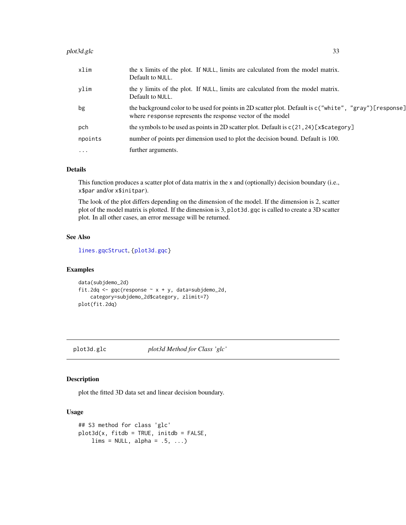#### <span id="page-32-0"></span>plot3d.glc 33

| xlim      | the x limits of the plot. If NULL, limits are calculated from the model matrix.<br>Default to NULL.                                                                   |
|-----------|-----------------------------------------------------------------------------------------------------------------------------------------------------------------------|
| ylim      | the y limits of the plot. If NULL, limits are calculated from the model matrix.<br>Default to NULL.                                                                   |
| bg        | the background color to be used for points in 2D scatter plot. Default is c("white", "gray") [response]<br>where response represents the response vector of the model |
| pch       | the symbols to be used as points in 2D scatter plot. Default is $c(21, 24)$ [x\$category]                                                                             |
| npoints   | number of points per dimension used to plot the decision bound. Default is 100.                                                                                       |
| $\ddotsc$ | further arguments.                                                                                                                                                    |
|           |                                                                                                                                                                       |

#### Details

This function produces a scatter plot of data matrix in the x and (optionally) decision boundary (i.e., x\$par and/or x\$initpar).

The look of the plot differs depending on the dimension of the model. If the dimension is 2, scatter plot of the model matrix is plotted. If the dimension is 3, plot3d.gqc is called to create a 3D scatter plot. In all other cases, an error message will be returned.

## See Also

[lines.gqcStruct](#page-22-1), [{plot3d.gqc}](#page-33-1)

#### Examples

```
data(subjdemo_2d)
fit.2dq <- gqc(response \sim x + y, data=subjdemo_2d,
    category=subjdemo_2d$category, zlimit=7)
plot(fit.2dq)
```
<span id="page-32-1"></span>plot3d.glc *plot3d Method for Class 'glc'*

## **Description**

plot the fitted 3D data set and linear decision boundary.

#### Usage

```
## S3 method for class 'glc'
plot3d(x, fitdb = TRUE, initdb = FALSE,lims = NULL, alpha = .5, ...)
```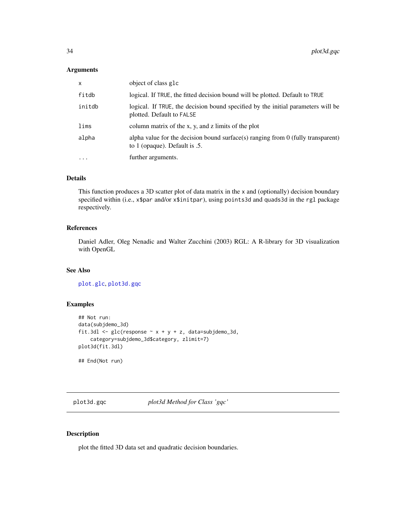#### <span id="page-33-0"></span>Arguments

| $\mathsf{x}$ | object of class glc                                                                                                 |  |
|--------------|---------------------------------------------------------------------------------------------------------------------|--|
| fitdb        | logical. If TRUE, the fitted decision bound will be plotted. Default to TRUE                                        |  |
| initdb       | logical. If TRUE, the decision bound specified by the initial parameters will be<br>plotted. Default to FALSE       |  |
| lims         | column matrix of the x, y, and z limits of the plot                                                                 |  |
| alpha        | alpha value for the decision bound surface(s) ranging from $0$ (fully transparent)<br>to 1 (opaque). Default is .5. |  |
| $\cdot$      | further arguments.                                                                                                  |  |

## Details

This function produces a 3D scatter plot of data matrix in the x and (optionally) decision boundary specified within (i.e., x\$par and/or x\$initpar), using points3d and quads3d in the rgl package respectively.

## References

Daniel Adler, Oleg Nenadic and Walter Zucchini (2003) RGL: A R-library for 3D visualization with OpenGL

## See Also

[plot.glc](#page-30-1), [plot3d.gqc](#page-33-1)

## Examples

```
## Not run:
data(subjdemo_3d)
fit.3dl <- glc(response \sim x + y + z, data=subjdemo_3d,
    category=subjdemo_3d$category, zlimit=7)
plot3d(fit.3dl)
## End(Not run)
```
<span id="page-33-1"></span>plot3d.gqc *plot3d Method for Class 'gqc'*

## Description

plot the fitted 3D data set and quadratic decision boundaries.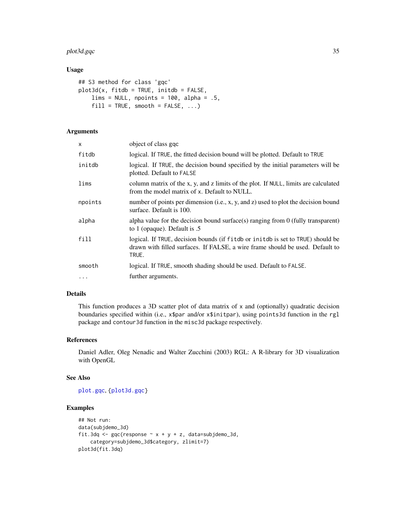## <span id="page-34-0"></span>plot3d.gqc 35

## Usage

```
## S3 method for class 'gqc'
plot3d(x, fitdb = TRUE, initdb = FALSE,lims = NULL, npoints = 100, alpha = .5,
    fill = TRUE, smooth = FALSE, ...)
```
## Arguments

| x        | object of class ggc                                                                                                                                                       |
|----------|---------------------------------------------------------------------------------------------------------------------------------------------------------------------------|
| fitdb    | logical. If TRUE, the fitted decision bound will be plotted. Default to TRUE                                                                                              |
| initdb   | logical. If TRUE, the decision bound specified by the initial parameters will be<br>plotted. Default to FALSE                                                             |
| lims     | column matrix of the x, y, and z limits of the plot. If NULL, limits are calculated<br>from the model matrix of x. Default to NULL.                                       |
| npoints  | number of points per dimension (i.e., x, y, and z) used to plot the decision bound<br>surface. Default is 100.                                                            |
| alpha    | alpha value for the decision bound surface(s) ranging from $0$ (fully transparent)<br>to 1 (opaque). Default is .5                                                        |
| fill     | logical. If TRUE, decision bounds (if fitdb or initdb is set to TRUE) should be<br>drawn with filled surfaces. If FALSE, a wire frame should be used. Default to<br>TRUE. |
| smooth   | logical. If TRUE, smooth shading should be used. Default to FALSE.                                                                                                        |
| $\ddots$ | further arguments.                                                                                                                                                        |

#### Details

This function produces a 3D scatter plot of data matrix of  $x$  and (optionally) quadratic decision boundaries specified within (i.e., x\$par and/or x\$initpar), using points3d function in the rgl package and contour3d function in the misc3d package respectively.

## References

Daniel Adler, Oleg Nenadic and Walter Zucchini (2003) RGL: A R-library for 3D visualization with OpenGL

#### See Also

[plot.gqc](#page-31-1), [{plot3d.gqc}](#page-33-1)

```
## Not run:
data(subjdemo_3d)
fit.3dq <- gqc(response \sim x + y + z, data=subjdemo_3d,
   category=subjdemo_3d$category, zlimit=7)
plot3d(fit.3dq)
```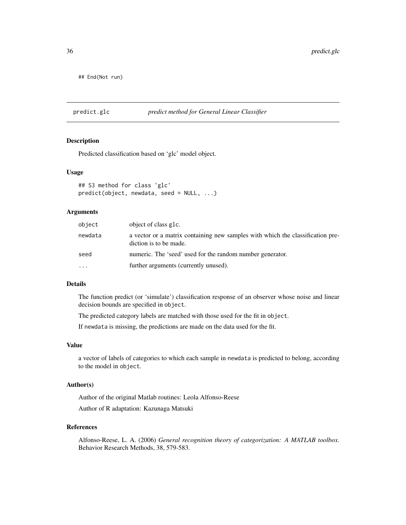<span id="page-35-0"></span>## End(Not run)

<span id="page-35-1"></span>predict.glc *predict method for General Linear Classifier*

#### Description

Predicted classification based on 'glc' model object.

#### Usage

```
## S3 method for class 'glc'
predict(object, newdata, seed = NULL, ...)
```
#### Arguments

| object  | object of class g1c.                                                                                     |
|---------|----------------------------------------------------------------------------------------------------------|
| newdata | a vector or a matrix containing new samples with which the classification pre-<br>diction is to be made. |
| seed    | numeric. The 'seed' used for the random number generator.                                                |
| .       | further arguments (currently unused).                                                                    |

## Details

The function predict (or 'simulate') classification response of an observer whose noise and linear decision bounds are specified in object.

The predicted category labels are matched with those used for the fit in object.

If newdata is missing, the predictions are made on the data used for the fit.

#### Value

a vector of labels of categories to which each sample in newdata is predicted to belong, according to the model in object.

#### Author(s)

Author of the original Matlab routines: Leola Alfonso-Reese Author of R adaptation: Kazunaga Matsuki

#### References

Alfonso-Reese, L. A. (2006) *General recognition theory of categorization: A MATLAB toolbox*. Behavior Research Methods, 38, 579-583.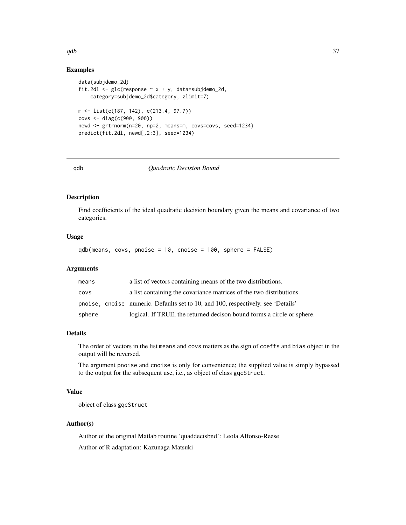## Examples

```
data(subjdemo_2d)
fit.2dl <- glc(response ~ x + y, data=subjdemo_2d,
    category=subjdemo_2d$category, zlimit=7)
m <- list(c(187, 142), c(213.4, 97.7))
covs <- diag(c(900, 900))
newd <- grtrnorm(n=20, np=2, means=m, covs=covs, seed=1234)
predict(fit.2dl, newd[,2:3], seed=1234)
```
<span id="page-36-1"></span>

#### qdb *Quadratic Decision Bound*

#### Description

Find coefficients of the ideal quadratic decision boundary given the means and covariance of two categories.

## Usage

qdb(means, covs, pnoise = 10, cnoise = 100, sphere = FALSE)

#### **Arguments**

| means  | a list of vectors containing means of the two distributions.                     |
|--------|----------------------------------------------------------------------------------|
| COVS   | a list containing the covariance matrices of the two distributions.              |
|        | pnoise, cnoise numeric. Defaults set to 10, and 100, respectively. see 'Details' |
| sphere | logical. If TRUE, the returned decison bound forms a circle or sphere.           |

## Details

The order of vectors in the list means and covs matters as the sign of coeffs and bias object in the output will be reversed.

The argument pnoise and cnoise is only for convenience; the supplied value is simply bypassed to the output for the subsequent use, i.e., as object of class gqcStruct.

#### Value

object of class gqcStruct

#### Author(s)

Author of the original Matlab routine 'quaddecisbnd': Leola Alfonso-Reese Author of R adaptation: Kazunaga Matsuki

<span id="page-36-0"></span> $qdb$  37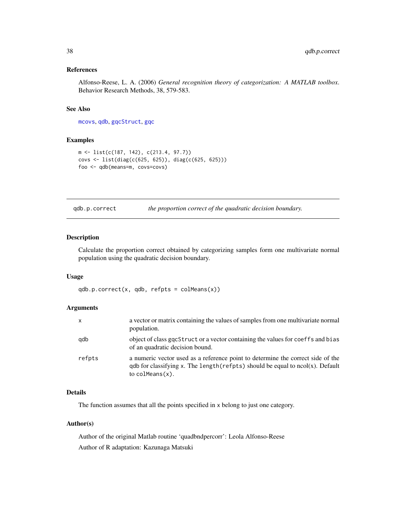## <span id="page-37-0"></span>References

Alfonso-Reese, L. A. (2006) *General recognition theory of categorization: A MATLAB toolbox*. Behavior Research Methods, 38, 579-583.

## See Also

[mcovs](#page-26-1), [qdb](#page-36-1), [gqcStruct](#page-15-2), [gqc](#page-13-1)

#### Examples

```
m <- list(c(187, 142), c(213.4, 97.7))
covs <- list(diag(c(625, 625)), diag(c(625, 625)))
foo <- qdb(means=m, covs=covs)
```
qdb.p.correct *the proportion correct of the quadratic decision boundary.*

#### Description

Calculate the proportion correct obtained by categorizing samples form one multivariate normal population using the quadratic decision boundary.

#### Usage

qdb.p.correct(x, qdb, refpts = colMeans(x))

#### **Arguments**

| $\mathsf{x}$ | a vector or matrix containing the values of samples from one multivariate normal<br>population.                                                                                                     |
|--------------|-----------------------------------------------------------------------------------------------------------------------------------------------------------------------------------------------------|
| qdb          | object of class goestruct or a vector containing the values for coeffs and bias<br>of an quadratic decision bound.                                                                                  |
| refpts       | a numeric vector used as a reference point to determine the correct side of the<br>$qdb$ for classifying x. The length (refpts) should be equal to $ncol(x)$ . Default<br>to $\text{colMeans}(x)$ . |

## Details

The function assumes that all the points specified in x belong to just one category.

#### Author(s)

Author of the original Matlab routine 'quadbndpercorr': Leola Alfonso-Reese Author of R adaptation: Kazunaga Matsuki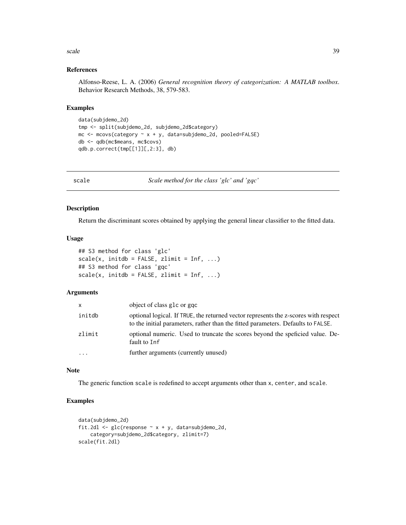#### <span id="page-38-0"></span>scale 39

## References

Alfonso-Reese, L. A. (2006) *General recognition theory of categorization: A MATLAB toolbox*. Behavior Research Methods, 38, 579-583.

#### Examples

```
data(subjdemo_2d)
tmp <- split(subjdemo_2d, subjdemo_2d$category)
mc \le mcovs(category \sim x + y, data=subjdemo_2d, pooled=FALSE)
db <- qdb(mc$means, mc$covs)
qdb.p.correct(tmp[[1]][,2:3], db)
```
<span id="page-38-2"></span>scale *Scale method for the class 'glc' and 'gqc'*

#### <span id="page-38-1"></span>Description

Return the discriminant scores obtained by applying the general linear classifier to the fitted data.

#### Usage

```
## S3 method for class 'glc'
scale(x, initdb = FALSE, zlimit = Inf, ...)## S3 method for class 'gqc'
scale(x, initdb = FALSE, zlimit = Inf, ...)
```
## Arguments

| X       | object of class glc or ggc                                                                                                                                              |
|---------|-------------------------------------------------------------------------------------------------------------------------------------------------------------------------|
| initdb  | optional logical. If TRUE, the returned vector represents the z-scores with respect<br>to the initial parameters, rather than the fitted parameters. Defaults to FALSE. |
| zlimit  | optional numeric. Used to truncate the scores beyond the speficied value. De-<br>fault to Inf                                                                           |
| $\cdot$ | further arguments (currently unused)                                                                                                                                    |

#### Note

The generic function scale is redefined to accept arguments other than x, center, and scale.

```
data(subjdemo_2d)
fit.2dl <- glc(response \sim x + y, data=subjdemo_2d,
    category=subjdemo_2d$category, zlimit=7)
scale(fit.2dl)
```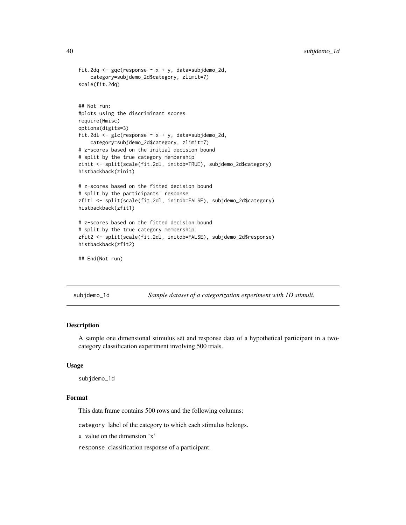```
fit.2dq <- gqc(response \sim x + y, data=subjdemo_2d,
    category=subjdemo_2d$category, zlimit=7)
scale(fit.2dq)
## Not run:
#plots using the discriminant scores
require(Hmisc)
options(digits=3)
fit.2dl <- glc(response \sim x + y, data=subjdemo_2d,
    category=subjdemo_2d$category, zlimit=7)
# z-scores based on the initial decision bound
# split by the true category membership
zinit <- split(scale(fit.2dl, initdb=TRUE), subjdemo_2d$category)
histbackback(zinit)
# z-scores based on the fitted decision bound
# split by the participants' response
zfit1 <- split(scale(fit.2dl, initdb=FALSE), subjdemo_2d$category)
histbackback(zfit1)
# z-scores based on the fitted decision bound
# split by the true category membership
zfit2 <- split(scale(fit.2dl, initdb=FALSE), subjdemo_2d$response)
histbackback(zfit2)
## End(Not run)
```
subjdemo\_1d *Sample dataset of a categorization experiment with 1D stimuli.*

## Description

A sample one dimensional stimulus set and response data of a hypothetical participant in a twocategory classification experiment involving 500 trials.

#### Usage

subjdemo\_1d

## Format

This data frame contains 500 rows and the following columns:

category label of the category to which each stimulus belongs.

x value on the dimension 'x'

response classification response of a participant.

<span id="page-39-0"></span>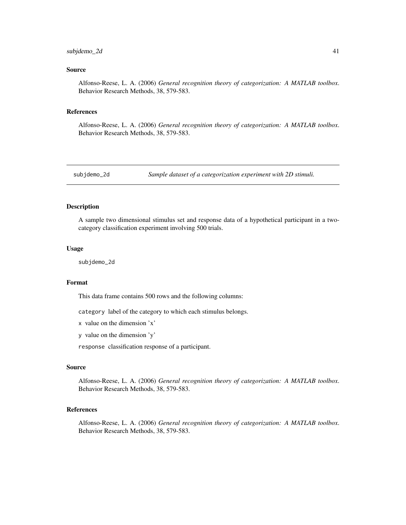#### <span id="page-40-0"></span> $\frac{1}{41}$  subjdemo\_2d  $\frac{41}{41}$

## Source

Alfonso-Reese, L. A. (2006) *General recognition theory of categorization: A MATLAB toolbox*. Behavior Research Methods, 38, 579-583.

#### References

Alfonso-Reese, L. A. (2006) *General recognition theory of categorization: A MATLAB toolbox*. Behavior Research Methods, 38, 579-583.

subjdemo\_2d *Sample dataset of a categorization experiment with 2D stimuli.*

#### Description

A sample two dimensional stimulus set and response data of a hypothetical participant in a twocategory classification experiment involving 500 trials.

#### Usage

subjdemo\_2d

## Format

This data frame contains 500 rows and the following columns:

category label of the category to which each stimulus belongs.

x value on the dimension 'x'

y value on the dimension 'y'

response classification response of a participant.

#### Source

Alfonso-Reese, L. A. (2006) *General recognition theory of categorization: A MATLAB toolbox*. Behavior Research Methods, 38, 579-583.

## References

Alfonso-Reese, L. A. (2006) *General recognition theory of categorization: A MATLAB toolbox*. Behavior Research Methods, 38, 579-583.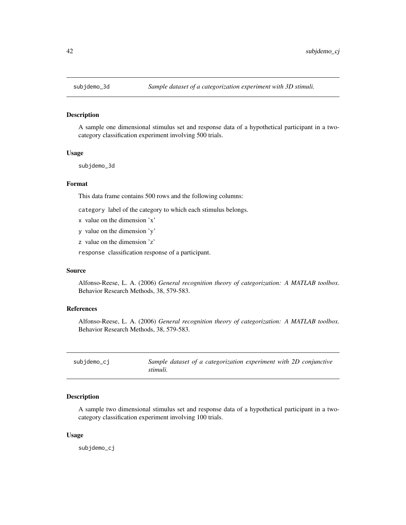<span id="page-41-0"></span>

#### Description

A sample one dimensional stimulus set and response data of a hypothetical participant in a twocategory classification experiment involving 500 trials.

#### Usage

subjdemo\_3d

#### Format

This data frame contains 500 rows and the following columns:

category label of the category to which each stimulus belongs.

- x value on the dimension 'x'
- y value on the dimension 'y'
- z value on the dimension 'z'

response classification response of a participant.

#### Source

Alfonso-Reese, L. A. (2006) *General recognition theory of categorization: A MATLAB toolbox*. Behavior Research Methods, 38, 579-583.

## References

Alfonso-Reese, L. A. (2006) *General recognition theory of categorization: A MATLAB toolbox*. Behavior Research Methods, 38, 579-583.

| subjdemo_cj | Sample dataset of a categorization experiment with 2D conjunctive |
|-------------|-------------------------------------------------------------------|
|             | stimuli.                                                          |

#### Description

A sample two dimensional stimulus set and response data of a hypothetical participant in a twocategory classification experiment involving 100 trials.

#### Usage

subjdemo\_cj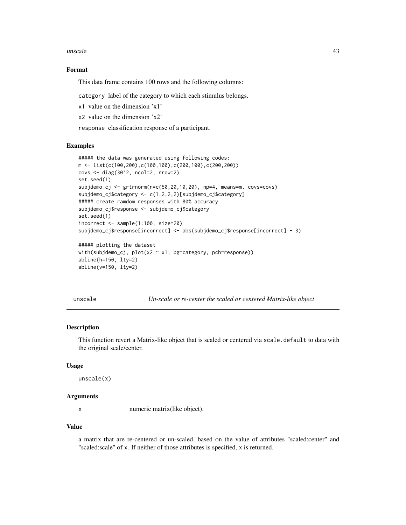<span id="page-42-0"></span>unscale **43** 

#### Format

This data frame contains 100 rows and the following columns:

category label of the category to which each stimulus belongs.

- x1 value on the dimension 'x1'
- x2 value on the dimension 'x2'

response classification response of a participant.

## Examples

```
##### the data was generated using following codes:
m <- list(c(100,200),c(100,100),c(200,100),c(200,200))
covs <- diag(30^2, ncol=2, nrow=2)
set.seed(1)
subjdemo_cj \leq grtrnorm(n=c(50, 20, 10, 20), np=4, means=m, covers=covs)subjdemo_cj$category <- c(1,2,2,2)[subjdemo_cj$category]
##### create ramdom responses with 80% accuracy
subjdemo_cj$response <- subjdemo_cj$category
set.seed(1)
incorrect <- sample(1:100, size=20)
subjdemo_cj$response[incorrect] <- abs(subjdemo_cj$response[incorrect] - 3)
##### plotting the dataset
with(subjdemo_cj, plot(x2 - x1, bg=category, pch=response))
abline(h=150, lty=2)
abline(v=150, lty=2)
```
unscale *Un-scale or re-center the scaled or centered Matrix-like object*

#### Description

This function revert a Matrix-like object that is scaled or centered via scale.default to data with the original scale/center.

#### Usage

unscale(x)

#### Arguments

x numeric matrix(like object).

#### Value

a matrix that are re-centered or un-scaled, based on the value of attributes "scaled:center" and "scaled:scale" of x. If neither of those attributes is specified, x is returned.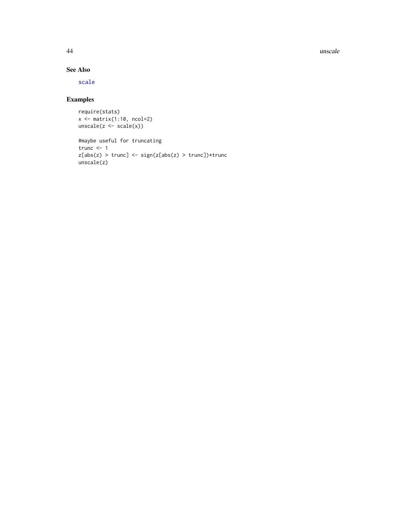44 unscale

## See Also

[scale](#page-38-2)

```
require(stats)
x <- matrix(1:10, ncol=2)
unscale(z \leftarrow scale(x))
```

```
#maybe useful for truncating
trunc <-1z[abs(z) > true] <- sign(z[abs(z) > true])*trunc
unscale(z)
```
<span id="page-43-0"></span>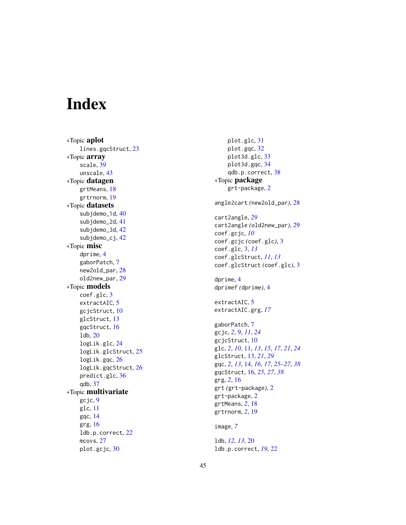# <span id="page-44-0"></span>Index

∗Topic aplot lines.gqcStruct , [23](#page-22-0) ∗Topic array scale , [39](#page-38-0) unscale , [43](#page-42-0) ∗Topic datagen grtMeans , [18](#page-17-0) grtrnorm , [19](#page-18-0) ∗Topic datasets subjdemo\_1d , [40](#page-39-0) subjdemo\_2d , [41](#page-40-0) subjdemo\_3d , [42](#page-41-0) subjdemo\_cj , [42](#page-41-0) ∗Topic misc dprime , [4](#page-3-0) gaborPatch , [7](#page-6-0) new2old\_par , [28](#page-27-0) old2new\_par , [29](#page-28-0) ∗Topic models coef.glc , [3](#page-2-0) extractAIC, [5](#page-4-0) gcjcStruct, [10](#page-9-0) glcStruct , [13](#page-12-0) gqcStruct , [16](#page-15-0) ldb , [20](#page-19-0) logLik.glc , [24](#page-23-0) logLik.glcStruct , [25](#page-24-0) logLik.gqc , [26](#page-25-0) logLik.gqcStruct , [26](#page-25-0) predict.glc , [36](#page-35-0) qdb , [37](#page-36-0) ∗Topic multivariate gcjc , [9](#page-8-0) glc , [11](#page-10-0) gqc , [14](#page-13-0) grg , [16](#page-15-0) ldb.p.correct , [22](#page-21-0) mcovs, [27](#page-26-0) plot.gcjc , [30](#page-29-0)

plot.glc , [31](#page-30-0) plot.gqc , [32](#page-31-0) plot3d.glc , [33](#page-32-0) plot3d.gqc , [34](#page-33-0) qdb.p.correct , [38](#page-37-0) ∗Topic package grt-package, [2](#page-1-0) angle2cart *(*new2old\_par *)* , [28](#page-27-0) cart2angle , *[29](#page-28-0)* cart2angle *(*old2new\_par *)* , [29](#page-28-0) coef.gcjc , *[10](#page-9-0)* coef.gcjc *(*coef.glc *)* , [3](#page-2-0) coef.glc , [3](#page-2-0) , *[13](#page-12-0)* coef.glcStruct , *[11](#page-10-0)* , *[13](#page-12-0)* coef.glcStruct *(*coef.glc *)* , [3](#page-2-0) dprime , [4](#page-3-0) dprimef *(*dprime *)* , [4](#page-3-0) extractAIC, [5](#page-4-0) extractAIC.grg , *[17](#page-16-0)* gaborPatch , [7](#page-6-0) gcjc , *[2](#page-1-0)* , [9](#page-8-0) , *[11](#page-10-0)* , *[24](#page-23-0)* gcjcStruct , [10](#page-9-0) glc , *[2](#page-1-0)* , *[10](#page-9-0)* , [11](#page-10-0) , *[13](#page-12-0)* , *[15](#page-14-0)* , *[17](#page-16-0)* , *[21](#page-20-0)* , *[24](#page-23-0)* glcStruct , [13](#page-12-0) , *[21](#page-20-0)* , *[29](#page-28-0)* gqc , *[2](#page-1-0)* , *[13](#page-12-0)* , [14](#page-13-0) , *[16,](#page-15-0) [17](#page-16-0)* , *[25](#page-24-0) [–27](#page-26-0)* , *[38](#page-37-0)* gqcStruct , [16](#page-15-0) , *[25](#page-24-0)* , *[27](#page-26-0)* , *[38](#page-37-0)* grg , *[2](#page-1-0)* , [16](#page-15-0) grt *(*grt-package *)* , [2](#page-1-0) grt-package, [2](#page-1-0) grtMeans , *[2](#page-1-0)* , [18](#page-17-0) grtrnorm , *[2](#page-1-0)* , [19](#page-18-0) image , *[7](#page-6-0)* ldb , *[12](#page-11-0) , [13](#page-12-0)* , [20](#page-19-0) ldb.p.correct , *[19](#page-18-0)* , [22](#page-21-0)